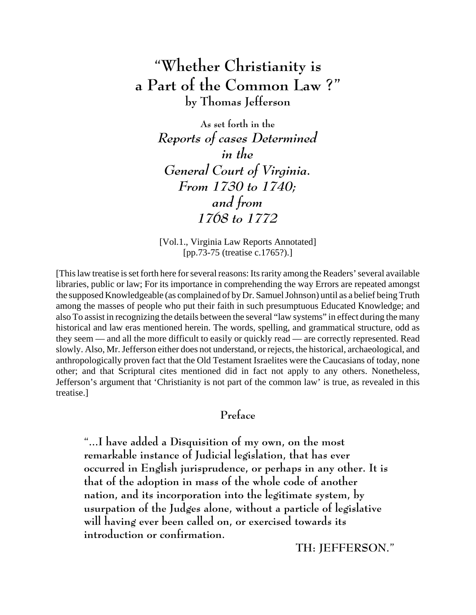## **"Whether Christianity is a Part of the Common Law ?" by Thomas Jefferson**

**As set forth in the** *Reports of cases Determined in the General Court of Virginia. From 1730 to 1740; and from 1768 to 1772*

[Vol.1., Virginia Law Reports Annotated] [pp.73-75 (treatise c.1765?).]

[This law treatise is set forth here for several reasons: Its rarity among the Readers' several available libraries, public or law; For its importance in comprehending the way Errors are repeated amongst the supposed Knowledgeable (as complained of by Dr. Samuel Johnson) until as a belief being Truth among the masses of people who put their faith in such presumptuous Educated Knowledge; and also To assist in recognizing the details between the several "law systems" in effect during the many historical and law eras mentioned herein. The words, spelling, and grammatical structure, odd as they seem — and all the more difficult to easily or quickly read — are correctly represented. Read slowly. Also, Mr. Jefferson either does not understand, or rejects, the historical, archaeological, and anthropologically proven fact that the Old Testament Israelites were the Caucasians of today, none other; and that Scriptural cites mentioned did in fact not apply to any others. Nonetheless, Jefferson's argument that 'Christianity is not part of the common law' is true, as revealed in this treatise.]

### **Preface**

**"...I have added a Disquisition of my own, on the most remarkable instance of Judicial legislation, that has ever occurred in English jurisprudence, or perhaps in any other. It is that of the adoption in mass of the whole code of another nation, and its incorporation into the legitimate system, by usurpation of the Judges alone, without a particle of legislative will having ever been called on, or exercised towards its introduction or confirmation.**

**TH: JEFFERSON."**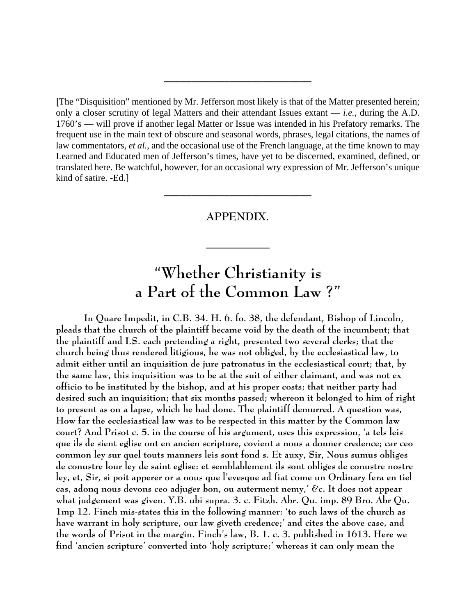**[**The "Disquisition" mentioned by Mr. Jefferson most likely is that of the Matter presented herein; only a closer scrutiny of legal Matters and their attendant Issues extant — *i.e.*, during the A.D. 1760's — will prove if another legal Matter or Issue was intended in his Prefatory remarks. The frequent use in the main text of obscure and seasonal words, phrases, legal citations, the names of law commentators, *et al.*, and the occasional use of the French language, at the time known to may Learned and Educated men of Jefferson's times, have yet to be discerned, examined, defined, or translated here. Be watchful, however, for an occasional wry expression of Mr. Jefferson's unique kind of satire. -Ed.]

**\_\_\_\_\_\_\_\_\_\_\_\_\_\_\_\_\_\_\_\_\_\_\_\_\_\_\_**

#### **APPENDIX.**

# **"Whether Christianity is a Part of the Common Law ?"**

**In Quare Impedit, in C.B. 34. H. 6. fo. 38, the defendant, Bishop of Lincoln, pleads that the church of the plaintiff became void by the death of the incumbent; that the plaintiff and I.S. each pretending a right, presented two several clerks; that the church being thus rendered litigious, he was not obliged, by the ecclesiastical law, to admit either until an inquisition de jure patronatus in the ecclesiastical court; that, by the same law, this inquisition was to be at the suit of either claimant, and was not ex officio to be instituted by the bishop, and at his proper costs; that neither party had desired such an inquisition; that six months passed; whereon it belonged to him of right to present as on a lapse, which he had done. The plaintiff demurred. A question was, How far the ecclesiastical law was to be respected in this matter by the Common law court? And Prisot c. 5. in the course of his argument, uses this expression, 'a tels leis que ils de sient eglise ont en ancien scripture, covient a nous a donner credence; car ceo common ley sur quel touts manners leis sont fond s. Et auxy, Sir, Nous sumus obliges de conustre lour ley de saint eglise: et semblablement ils sont obliges de conustre nostre ley, et, Sir, si poit apperer or a nous que l'evesque ad fiat come un Ordinary fera en tiel cas, adonq nous devons ceo adjuger bon, ou auterment nemy,' &c. It does not appear what judgement was given. Y.B. ubi supra. 3. c. Fitzh. Abr. Qu. imp. 89 Bro. Abr Qu. 1mp 12. Finch mis-states this in the following manner: 'to such laws of the church as have warrant in holy scripture, our law giveth credence;' and cites the above case, and the words of Prisot in the margin. Finch's law, B. 1. c. 3. published in 1613. Here we find 'ancien scripture' converted into 'holy scripture;' whereas it can only mean the**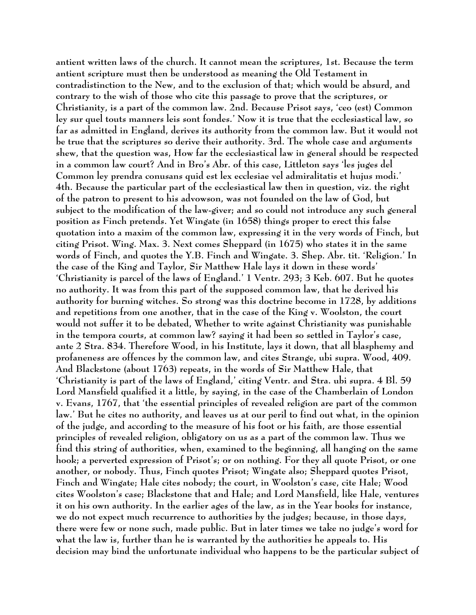**antient written laws of the church. It cannot mean the scriptures, 1st. Because the term antient scripture must then be understood as meaning the Old Testament in contradistinction to the New, and to the exclusion of that; which would be absurd, and contrary to the wish of those who cite this passage to prove that the scriptures, or Christianity, is a part of the common law. 2nd. Because Prisot says, 'ceo (est) Common ley sur quel touts manners leis sont fondes.' Now it is true that the ecclesiastical law, so far as admitted in England, derives its authority from the common law. But it would not be true that the scriptures so derive their authority. 3rd. The whole case and arguments shew, that the question was, How far the ecclesiastical law in general should be respected in a common law court? And in Bro's Abr. of this case, Littleton says 'les juges del Common ley prendra conusans quid est lex ecclesiae vel admiralitatis et hujus modi.' 4th. Because the particular part of the ecclesiastical law then in question, viz. the right of the patron to present to his advowson, was not founded on the law of God, but subject to the modification of the law-giver; and so could not introduce any such general position as Finch pretends. Yet Wingate (in 1658) things proper to erect this false quotation into a maxim of the common law, expressing it in the very words of Finch, but citing Prisot. Wing. Max. 3. Next comes Sheppard (in 1675) who states it in the same words of Finch, and quotes the Y.B. Finch and Wingate. 3. Shep. Abr. tit. 'Religion.' In the case of the King and Taylor, Sir Matthew Hale lays it down in these words' 'Christianity is parcel of the laws of England.' 1 Ventr. 293; 3 Keb. 607. But he quotes no authority. It was from this part of the supposed common law, that he derived his authority for burning witches. So strong was this doctrine become in 1728, by additions and repetitions from one another, that in the case of the King v. Woolston, the court would not suffer it to be debated, Whether to write against Christianity was punishable in the tempora courts, at common law? saying it had been so settled in Taylor's case, ante 2 Stra. 834. Therefore Wood, in his Institute, lays it down, that all blasphemy and profaneness are offences by the common law, and cites Strange, ubi supra. Wood, 409. And Blackstone (about 1763) repeats, in the words of Sir Matthew Hale, that 'Christianity is part of the laws of England,' citing Ventr. and Stra. ubi supra. 4 Bl. 59 Lord Mansfield qualified it a little, by saying, in the case of the Chamberlain of London v. Evans, 1767, that 'the essential principles of revealed religion are part of the common law.' But he cites no authority, and leaves us at our peril to find out what, in the opinion of the judge, and according to the measure of his foot or his faith, are those essential principles of revealed religion, obligatory on us as a part of the common law. Thus we find this string of authorities, when, examined to the beginning, all hanging on the same hook; a perverted expression of Prisot's; or on nothing. For they all quote Prisot, or one another, or nobody. Thus, Finch quotes Prisot; Wingate also; Sheppard quotes Prisot, Finch and Wingate; Hale cites nobody; the court, in Woolston's case, cite Hale; Wood cites Woolston's case; Blackstone that and Hale; and Lord Mansfield, like Hale, ventures it on his own authority. In the earlier ages of the law, as in the Year books for instance, we do not expect much recurrence to authorities by the judges; because, in those days, there were few or none such, made public. But in later times we take no judge's word for what the law is, further than he is warranted by the authorities he appeals to. His decision may bind the unfortunate individual who happens to be the particular subject of**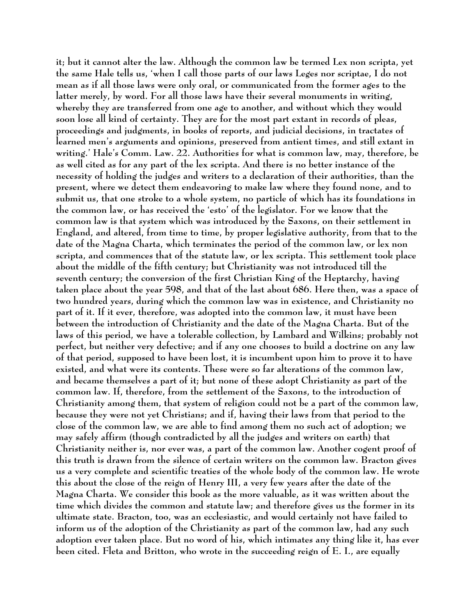**it; but it cannot alter the law. Although the common law be termed Lex non scripta, yet the same Hale tells us, 'when I call those parts of our laws Leges nor scriptae, I do not mean as if all those laws were only oral, or communicated from the former ages to the latter merely, by word. For all those laws have their several monuments in writing, whereby they are transferred from one age to another, and without which they would soon lose all kind of certainty. They are for the most part extant in records of pleas, proceedings and judgments, in books of reports, and judicial decisions, in tractates of learned men's arguments and opinions, preserved from antient times, and still extant in writing.' Hale's Comm. Law. 22. Authorities for what is common law, may, therefore, be as well cited as for any part of the lex scripta. And there is no better instance of the necessity of holding the judges and writers to a declaration of their authorities, than the present, where we detect them endeavoring to make law where they found none, and to submit us, that one stroke to a whole system, no particle of which has its foundations in the common law, or has received the 'esto' of the legislator. For we know that the common law is that system which was introduced by the Saxons, on their settlement in England, and altered, from time to time, by proper legislative authority, from that to the date of the Magna Charta, which terminates the period of the common law, or lex non scripta, and commences that of the statute law, or lex scripta. This settlement took place about the middle of the fifth century; but Christianity was not introduced till the seventh century; the conversion of the first Christian King of the Heptarchy, having taken place about the year 598, and that of the last about 686. Here then, was a space of two hundred years, during which the common law was in existence, and Christianity no part of it. If it ever, therefore, was adopted into the common law, it must have been between the introduction of Christianity and the date of the Magna Charta. But of the laws of this period, we have a tolerable collection, by Lambard and Wilkins; probably not perfect, but neither very defective; and if any one chooses to build a doctrine on any law of that period, supposed to have been lost, it is incumbent upon him to prove it to have existed, and what were its contents. These were so far alterations of the common law, and became themselves a part of it; but none of these adopt Christianity as part of the common law. If, therefore, from the settlement of the Saxons, to the introduction of Christianity among them, that system of religion could not be a part of the common law, because they were not yet Christians; and if, having their laws from that period to the close of the common law, we are able to find among them no such act of adoption; we may safely affirm (though contradicted by all the judges and writers on earth) that Christianity neither is, nor ever was, a part of the common law. Another cogent proof of this truth is drawn from the silence of certain writers on the common law. Bracton gives us a very complete and scientific treaties of the whole body of the common law. He wrote this about the close of the reign of Henry III, a very few years after the date of the Magna Charta. We consider this book as the more valuable, as it was written about the time which divides the common and statute law; and therefore gives us the former in its ultimate state. Bracton, too, was an ecclesiastic, and would certainly not have failed to inform us of the adoption of the Christianity as part of the common law, had any such adoption ever taken place. But no word of his, which intimates any thing like it, has ever been cited. Fleta and Britton, who wrote in the succeeding reign of E. I., are equally**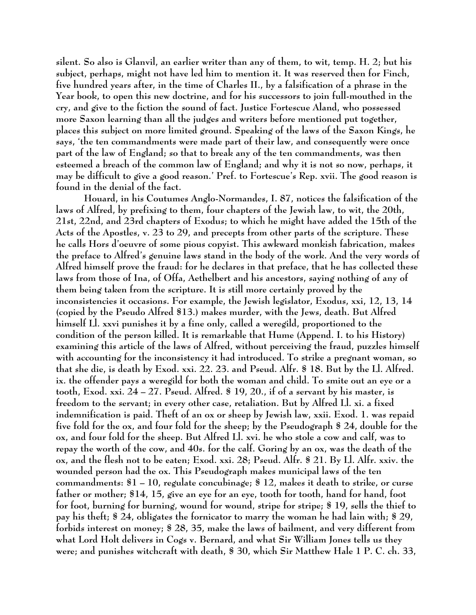**silent. So also is Glanvil, an earlier writer than any of them, to wit, temp. H. 2; but his subject, perhaps, might not have led him to mention it. It was reserved then for Finch, five hundred years after, in the time of Charles II., by a falsification of a phrase in the Year book, to open this new doctrine, and for his successors to join full-mouthed in the cry, and give to the fiction the sound of fact. Justice Fortescue Aland, who possessed more Saxon learning than all the judges and writers before mentioned put together, places this subject on more limited ground. Speaking of the laws of the Saxon Kings, he says, 'the ten commandments were made part of their law, and consequently were once part of the law of England; so that to break any of the ten commandments, was then esteemed a breach of the common law of England; and why it is not so now, perhaps, it may be difficult to give a good reason.' Pref. to Fortescue's Rep. xvii. The good reason is found in the denial of the fact.**

**Houard, in his Coutumes Anglo-Normandes, I. 87, notices the falsification of the laws of Alfred, by prefixing to them, four chapters of the Jewish law, to wit, the 20th, 21st, 22nd, and 23rd chapters of Exodus; to which he might have added the 15th of the Acts of the Apostles, v. 23 to 29, and precepts from other parts of the scripture. These he calls Hors d'oeuvre of some pious copyist. This awkward monkish fabrication, makes the preface to Alfred's genuine laws stand in the body of the work. And the very words of Alfred himself prove the fraud: for he declares in that preface, that he has collected these laws from those of Ina, of Offa, Aethelbert and his ancestors, saying nothing of any of them being taken from the scripture. It is still more certainly proved by the inconsistencies it occasions. For example, the Jewish legislator, Exodus, xxi, 12, 13, 14 (copied by the Pseudo Alfred §13.) makes murder, with the Jews, death. But Alfred himself Ll. xxvi punishes it by a fine only, called a weregild, proportioned to the condition of the person killed. It is remarkable that Hume (Append. I. to his History) examining this article of the laws of Alfred, without perceiving the fraud, puzzles himself with accounting for the inconsistency it had introduced. To strike a pregnant woman, so that she die, is death by Exod. xxi. 22. 23. and Pseud. Alfr. § 18. But by the Ll. Alfred. ix. the offender pays a weregild for both the woman and child. To smite out an eye or a tooth, Exod. xxi. 24 – 27. Pseud. Alfred. § 19, 20., if of a servant by his master, is freedom to the servant; in every other case, retaliation. But by Alfred Ll. xi. a fixed indemnification is paid. Theft of an ox or sheep by Jewish law, xxii. Exod. 1. was repaid five fold for the ox, and four fold for the sheep; by the Pseudograph § 24, double for the ox, and four fold for the sheep. But Alfred Ll. xvi. he who stole a cow and calf, was to repay the worth of the cow, and 40s. for the calf. Goring by an ox, was the death of the ox, and the flesh not to be eaten; Exod. xxi. 28; Pseud. Alfr. § 21. By Ll. Alfr. xxiv. the wounded person had the ox. This Pseudograph makes municipal laws of the ten commandments: §1 – 10, regulate concubinage; § 12, makes it death to strike, or curse father or mother; §14, 15, give an eye for an eye, tooth for tooth, hand for hand, foot for foot, burning for burning, wound for wound, stripe for stripe; § 19, sells the thief to pay his theft; § 24, obligates the fornicator to marry the woman he had lain with; § 29, forbids interest on money; § 28, 35, make the laws of bailment, and very different from what Lord Holt delivers in Cogs v. Bernard, and what Sir William Jones tells us they were; and punishes witchcraft with death, § 30, which Sir Matthew Hale 1 P. C. ch. 33,**